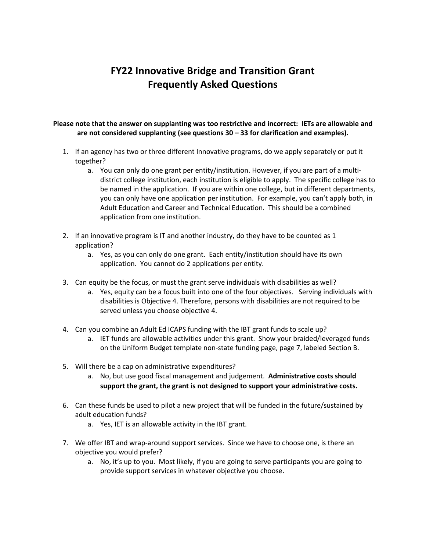## **FY22 Innovative Bridge and Transition Grant Frequently Asked Questions**

## **Please note that the answer on supplanting was too restrictive and incorrect: IETs are allowable and are not considered supplanting (see questions 30 – 33 for clarification and examples).**

- 1. If an agency has two or three different Innovative programs, do we apply separately or put it together?
	- a. You can only do one grant per entity/institution. However, if you are part of a multidistrict college institution, each institution is eligible to apply. The specific college has to be named in the application. If you are within one college, but in different departments, you can only have one application per institution. For example, you can't apply both, in Adult Education and Career and Technical Education. This should be a combined application from one institution.
- 2. If an innovative program is IT and another industry, do they have to be counted as 1 application?
	- a. Yes, as you can only do one grant. Each entity/institution should have its own application. You cannot do 2 applications per entity.
- 3. Can equity be the focus, or must the grant serve individuals with disabilities as well?
	- a. Yes, equity can be a focus built into one of the four objectives. Serving individuals with disabilities is Objective 4. Therefore, persons with disabilities are not required to be served unless you choose objective 4.
- 4. Can you combine an Adult Ed ICAPS funding with the IBT grant funds to scale up?
	- a. IET funds are allowable activities under this grant. Show your braided/leveraged funds on the Uniform Budget template non-state funding page, page 7, labeled Section B.
- 5. Will there be a cap on administrative expenditures?
	- a. No, but use good fiscal management and judgement. **Administrative costs should support the grant, the grant is not designed to support your administrative costs.**
- 6. Can these funds be used to pilot a new project that will be funded in the future/sustained by adult education funds?
	- a. Yes, IET is an allowable activity in the IBT grant.
- 7. We offer IBT and wrap-around support services. Since we have to choose one, is there an objective you would prefer?
	- a. No, it's up to you. Most likely, if you are going to serve participants you are going to provide support services in whatever objective you choose.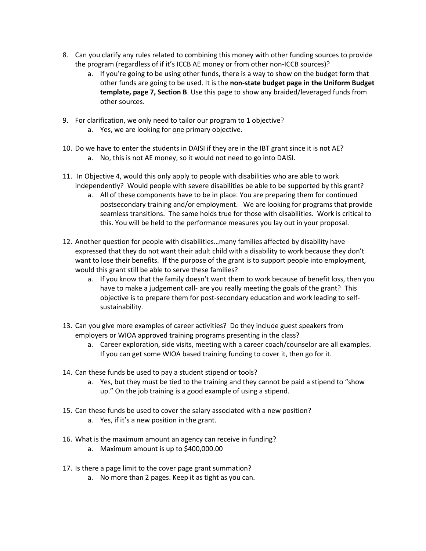- 8. Can you clarify any rules related to combining this money with other funding sources to provide the program (regardless of if it's ICCB AE money or from other non-ICCB sources)?
	- a. If you're going to be using other funds, there is a way to show on the budget form that other funds are going to be used. It is the **non-state budget page in the Uniform Budget template, page 7, Section B**. Use this page to show any braided/leveraged funds from other sources.
- 9. For clarification, we only need to tailor our program to 1 objective?
	- a. Yes, we are looking for one primary objective.
- 10. Do we have to enter the students in DAISI if they are in the IBT grant since it is not AE? a. No, this is not AE money, so it would not need to go into DAISI.
- 11. In Objective 4, would this only apply to people with disabilities who are able to work independently? Would people with severe disabilities be able to be supported by this grant?
	- a. All of these components have to be in place. You are preparing them for continued postsecondary training and/or employment. We are looking for programs that provide seamless transitions. The same holds true for those with disabilities. Work is critical to this. You will be held to the performance measures you lay out in your proposal.
- 12. Another question for people with disabilities…many families affected by disability have expressed that they do not want their adult child with a disability to work because they don't want to lose their benefits. If the purpose of the grant is to support people into employment, would this grant still be able to serve these families?
	- a. If you know that the family doesn't want them to work because of benefit loss, then you have to make a judgement call- are you really meeting the goals of the grant? This objective is to prepare them for post-secondary education and work leading to selfsustainability.
- 13. Can you give more examples of career activities? Do they include guest speakers from employers or WIOA approved training programs presenting in the class?
	- a. Career exploration, side visits, meeting with a career coach/counselor are all examples. If you can get some WIOA based training funding to cover it, then go for it.
- 14. Can these funds be used to pay a student stipend or tools?
	- a. Yes, but they must be tied to the training and they cannot be paid a stipend to "show up." On the job training is a good example of using a stipend.
- 15. Can these funds be used to cover the salary associated with a new position?
	- a. Yes, if it's a new position in the grant.
- 16. What is the maximum amount an agency can receive in funding?
	- a. Maximum amount is up to \$400,000.00
- 17. Is there a page limit to the cover page grant summation?
	- a. No more than 2 pages. Keep it as tight as you can.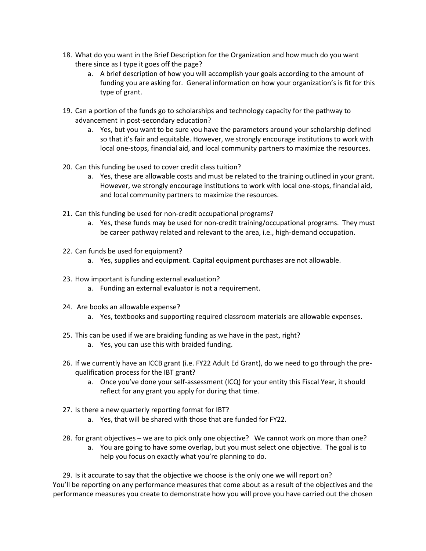- 18. What do you want in the Brief Description for the Organization and how much do you want there since as I type it goes off the page?
	- a. A brief description of how you will accomplish your goals according to the amount of funding you are asking for. General information on how your organization's is fit for this type of grant.
- 19. Can a portion of the funds go to scholarships and technology capacity for the pathway to advancement in post-secondary education?
	- a. Yes, but you want to be sure you have the parameters around your scholarship defined so that it's fair and equitable. However, we strongly encourage institutions to work with local one-stops, financial aid, and local community partners to maximize the resources.
- 20. Can this funding be used to cover credit class tuition?
	- a. Yes, these are allowable costs and must be related to the training outlined in your grant. However, we strongly encourage institutions to work with local one-stops, financial aid, and local community partners to maximize the resources.
- 21. Can this funding be used for non-credit occupational programs?
	- a. Yes, these funds may be used for non-credit training/occupational programs. They must be career pathway related and relevant to the area, i.e., high-demand occupation.
- 22. Can funds be used for equipment?
	- a. Yes, supplies and equipment. Capital equipment purchases are not allowable.
- 23. How important is funding external evaluation?
	- a. Funding an external evaluator is not a requirement.
- 24. Are books an allowable expense?
	- a. Yes, textbooks and supporting required classroom materials are allowable expenses.
- 25. This can be used if we are braiding funding as we have in the past, right?
	- a. Yes, you can use this with braided funding.
- 26. If we currently have an ICCB grant (i.e. FY22 Adult Ed Grant), do we need to go through the prequalification process for the IBT grant?
	- a. Once you've done your self-assessment (ICQ) for your entity this Fiscal Year, it should reflect for any grant you apply for during that time.
- 27. Is there a new quarterly reporting format for IBT?
	- a. Yes, that will be shared with those that are funded for FY22.
- 28. for grant objectives we are to pick only one objective? We cannot work on more than one?
	- a. You are going to have some overlap, but you must select one objective. The goal is to help you focus on exactly what you're planning to do.

29. Is it accurate to say that the objective we choose is the only one we will report on? You'll be reporting on any performance measures that come about as a result of the objectives and the performance measures you create to demonstrate how you will prove you have carried out the chosen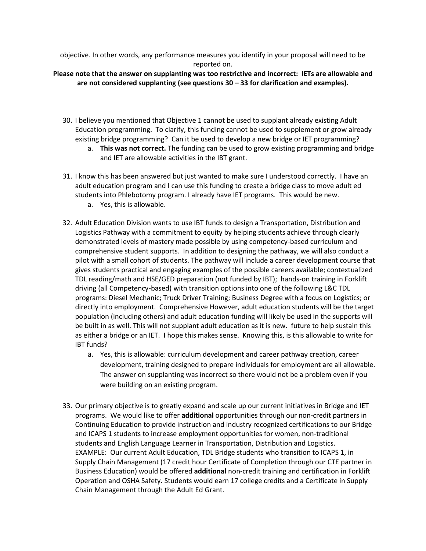objective. In other words, any performance measures you identify in your proposal will need to be reported on.

## **Please note that the answer on supplanting was too restrictive and incorrect: IETs are allowable and are not considered supplanting (see questions 30 – 33 for clarification and examples).**

- 30. I believe you mentioned that Objective 1 cannot be used to supplant already existing Adult Education programming. To clarify, this funding cannot be used to supplement or grow already existing bridge programming? Can it be used to develop a new bridge or IET programming?
	- a. **This was not correct.** The funding can be used to grow existing programming and bridge and IET are allowable activities in the IBT grant.
- 31. I know this has been answered but just wanted to make sure I understood correctly. I have an adult education program and I can use this funding to create a bridge class to move adult ed students into Phlebotomy program. I already have IET programs. This would be new.
	- a. Yes, this is allowable.
- 32. Adult Education Division wants to use IBT funds to design a Transportation, Distribution and Logistics Pathway with a commitment to equity by helping students achieve through clearly demonstrated levels of mastery made possible by using competency-based curriculum and comprehensive student supports. In addition to designing the pathway, we will also conduct a pilot with a small cohort of students. The pathway will include a career development course that gives students practical and engaging examples of the possible careers available; contextualized TDL reading/math and HSE/GED preparation (not funded by IBT); hands-on training in Forklift driving (all Competency-based) with transition options into one of the following L&C TDL programs: Diesel Mechanic; Truck Driver Training; Business Degree with a focus on Logistics; or directly into employment. Comprehensive However, adult education students will be the target population (including others) and adult education funding will likely be used in the supports will be built in as well. This will not supplant adult education as it is new. future to help sustain this as either a bridge or an IET. I hope this makes sense. Knowing this, is this allowable to write for IBT funds?
	- a. Yes, this is allowable: curriculum development and career pathway creation, career development, training designed to prepare individuals for employment are all allowable. The answer on supplanting was incorrect so there would not be a problem even if you were building on an existing program.
- 33. Our primary objective is to greatly expand and scale up our current initiatives in Bridge and IET programs. We would like to offer **additional** opportunities through our non-credit partners in Continuing Education to provide instruction and industry recognized certifications to our Bridge and ICAPS 1 students to increase employment opportunities for women, non-traditional students and English Language Learner in Transportation, Distribution and Logistics. EXAMPLE: Our current Adult Education, TDL Bridge students who transition to ICAPS 1, in Supply Chain Management (17 credit hour Certificate of Completion through our CTE partner in Business Education) would be offered **additional** non-credit training and certification in Forklift Operation and OSHA Safety. Students would earn 17 college credits and a Certificate in Supply Chain Management through the Adult Ed Grant.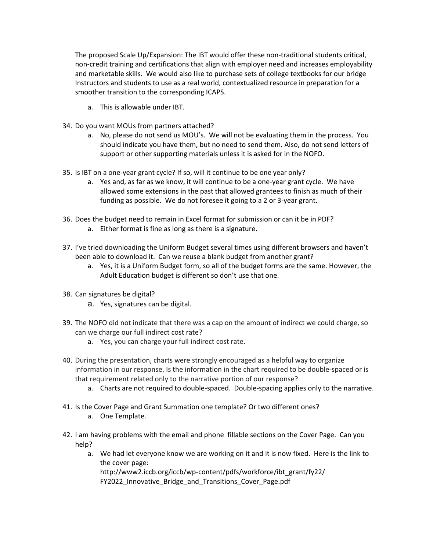The proposed Scale Up/Expansion: The IBT would offer these non-traditional students critical, non-credit training and certifications that align with employer need and increases employability and marketable skills. We would also like to purchase sets of college textbooks for our bridge Instructors and students to use as a real world, contextualized resource in preparation for a smoother transition to the corresponding ICAPS.

- a. This is allowable under IBT.
- 34. Do you want MOUs from partners attached?
	- a. No, please do not send us MOU's. We will not be evaluating them in the process. You should indicate you have them, but no need to send them. Also, do not send letters of support or other supporting materials unless it is asked for in the NOFO.
- 35. Is IBT on a one-year grant cycle? If so, will it continue to be one year only?
	- a. Yes and, as far as we know, it will continue to be a one-year grant cycle. We have allowed some extensions in the past that allowed grantees to finish as much of their funding as possible. We do not foresee it going to a 2 or 3-year grant.
- 36. Does the budget need to remain in Excel format for submission or can it be in PDF?
	- a. Either format is fine as long as there is a signature.
- 37. I've tried downloading the Uniform Budget several times using different browsers and haven't been able to download it. Can we reuse a blank budget from another grant?
	- a. Yes, it is a Uniform Budget form, so all of the budget forms are the same. However, the Adult Education budget is different so don't use that one.
- 38. Can signatures be digital?
	- a. Yes, signatures can be digital.
- 39. The NOFO did not indicate that there was a cap on the amount of indirect we could charge, so can we charge our full indirect cost rate?
	- a. Yes, you can charge your full indirect cost rate.
- 40. During the presentation, charts were strongly encouraged as a helpful way to organize information in our response. Is the information in the chart required to be double-spaced or is that requirement related only to the narrative portion of our response?
	- a. Charts are not required to double-spaced. Double-spacing applies only to the narrative.
- 41. Is the Cover Page and Grant Summation one template? Or two different ones?
	- a. One Template.
- 42. I am having problems with the email and phone fillable sections on the Cover Page. Can you help?
	- a. We had let everyone know we are working on it and it is now fixed. Here is the link to the cover page:

[http://www2.iccb.org/iccb/wp-content/pdfs/workforce/ibt\\_grant/fy22/](http://www2.iccb.org/iccb/wp-content/pdfs/workforce/ibt_grant/fy22/FY2022_Innovative_Bridge_and_Transitions_Cover_Page.pdf) FY2022\_Innovative\_Bridge\_and\_Transitions\_Cover\_Page.pdf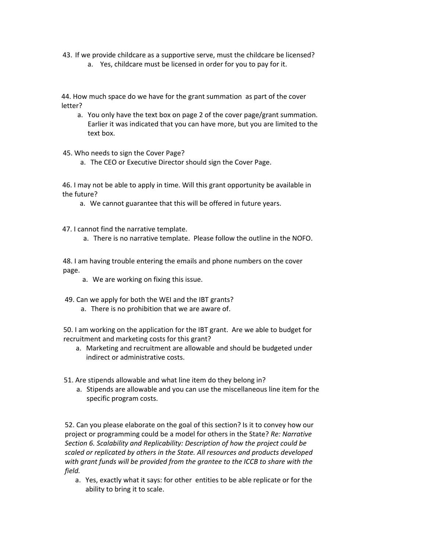- 43. If we provide childcare as a supportive serve, must the childcare be licensed?
	- a. Yes, childcare must be licensed in order for you to pay for it.

44. How much space do we have for the grant summation as part of the cover letter?

a. You only have the text box on page 2 of the cover page/grant summation. Earlier it was indicated that you can have more, but you are limited to the text box.

45. Who needs to sign the Cover Page?

a. The CEO or Executive Director should sign the Cover Page.

46. I may not be able to apply in time. Will this grant opportunity be available in the future?

a. We cannot guarantee that this will be offered in future years.

47. I cannot find the narrative template.

a. There is no narrative template. Please follow the outline in the NOFO.

48. I am having trouble entering the emails and phone numbers on the cover page.

a. We are working on fixing this issue.

49. Can we apply for both the WEI and the IBT grants?

a. There is no prohibition that we are aware of.

50. I am working on the application for the IBT grant. Are we able to budget for recruitment and marketing costs for this grant?

- a. Marketing and recruitment are allowable and should be budgeted under indirect or administrative costs.
- 51. Are stipends allowable and what line item do they belong in?
	- a. Stipends are allowable and you can use the miscellaneous line item for the specific program costs.

52. Can you please elaborate on the goal of this section? Is it to convey how our project or programming could be a model for others in the State? *Re: Narrative Section 6. Scalability and Replicability: Description of how the project could be scaled or replicated by others in the State. All resources and products developed with grant funds will be provided from the grantee to the ICCB to share with the field.*

a. Yes, exactly what it says: for other entities to be able replicate or for the ability to bring it to scale.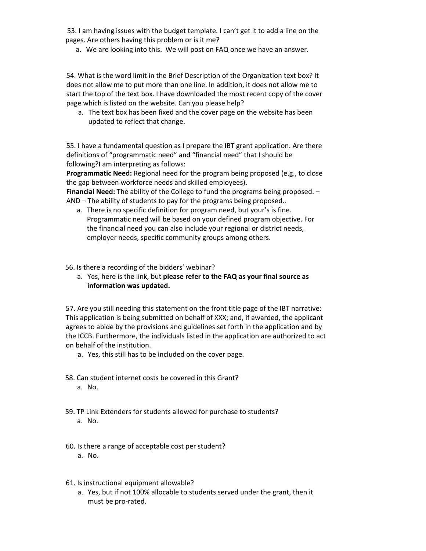53. I am having issues with the budget template. I can't get it to add a line on the pages. Are others having this problem or is it me?

a. We are looking into this. We will post on FAQ once we have an answer.

54. What is the word limit in the Brief Description of the Organization text box? It does not allow me to put more than one line. In addition, it does not allow me to start the top of the text box. I have downloaded the most recent copy of the cover page which is listed on the website. Can you please help?

a. The text box has been fixed and the cover page on the website has been updated to reflect that change.

55. I have a fundamental question as I prepare the IBT grant application. Are there definitions of "programmatic need" and "financial need" that I should be following?I am interpreting as follows:

**Programmatic Need:** Regional need for the program being proposed (e.g., to close the gap between workforce needs and skilled employees).

**Financial Need:** The ability of the College to fund the programs being proposed. – AND – The ability of students to pay for the programs being proposed..

a. There is no specific definition for program need, but your's is fine. Programmatic need will be based on your defined program objective. For the financial need you can also include your regional or district needs, employer needs, specific community groups among others.

56. Is there a recording of the bidders' webinar?

a. Yes, here is the link, but **please refer to the FAQ as your final source as information was updated.**

57. Are you still needing this statement on the front title page of the IBT narrative: This application is being submitted on behalf of XXX; and, if awarded, the applicant agrees to abide by the provisions and guidelines set forth in the application and by the ICCB. Furthermore, the individuals listed in the application are authorized to act on behalf of the institution.

- a. Yes, this still has to be included on the cover page.
- 58. Can student internet costs be covered in this Grant?
	- a. No.
- 59. TP Link Extenders for students allowed for purchase to students?
	- a. No.
- 60. Is there a range of acceptable cost per student?
	- a. No.
- 61. Is instructional equipment allowable?
	- a. Yes, but if not 100% allocable to students served under the grant, then it must be pro-rated.